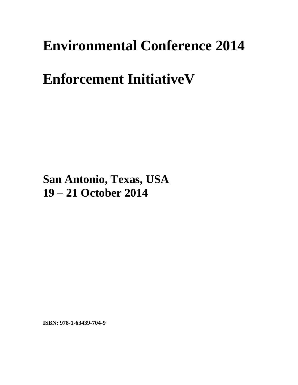## **Environmental Conference 2014**

## **Enforcement Initiativeu**

**San Antonio, Texas, USA 19 – 21 October 2014**

**ISBN: 978-1-63439-704-9**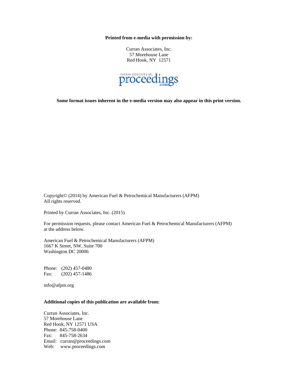**Printed from e-media with permission by:** 

Curran Associates, Inc. 57 Morehouse Lane Red Hook, NY 12571



**Some format issues inherent in the e-media version may also appear in this print version.** 

Copyright© (2014) by American Fuel & Petrochemical Manufacturers (AFPM) All rights reserved.

Printed by Curran Associates, Inc. (2015)

For permission requests, please contact American Fuel & Petrochemical Manufacturers (AFPM) at the address below.

American Fuel & Petrochemical Manufacturers (AFPM) 1667 K Street, NW, Suite 700 Washington DC 20006

Phone: (202) 457-0480 Fax: (202) 457-1486

info@afpm.org

## **Additional copies of this publication are available from:**

Curran Associates, Inc. 57 Morehouse Lane Red Hook, NY 12571 USA Phone: 845-758-0400 Fax: 845-758-2634 Email: curran@proceedings.com Web: www.proceedings.com